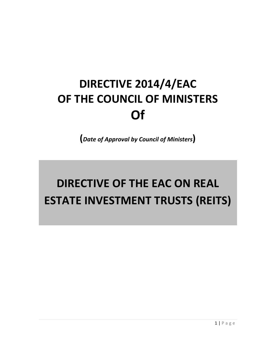# **DIRECTIVE 2014/4/EAC OF THE COUNCIL OF MINISTERS Of**

**(***Date of Approval by Council of Ministers***)**

# **DIRECTIVE OF THE EAC ON REAL ESTATE INVESTMENT TRUSTS (REITS)**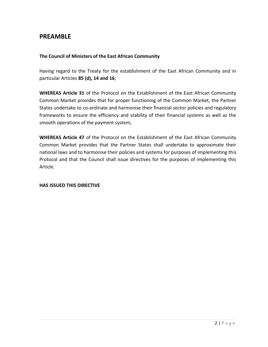# **PREAMBLE**

#### **The Council of Ministers of the East African Community**

Having regard to the Treaty for the establishment of the East African Community and in particular Articles **85 (d), 14 and 16**;

**WHEREAS Article 31** of the Protocol on the Establishment of the East African Community Common Market provides that for proper functioning of the Common Market, the Partner States undertake to co-ordinate and harmonise their financial sector policies and regulatory frameworks to ensure the efficiency and stability of their financial systems as well as the smooth operations of the payment system;

**WHEREAS Article 47** of the Protocol on the Establishment of the East African Community Common Market provides that the Partner States shall undertake to approximate their national laws and to harmonise their policies and systems for purposes of implementing this Protocol and that the Council shall issue directives for the purposes of implementing this Article.

#### **HAS ISSUED THIS DIRECTIVE**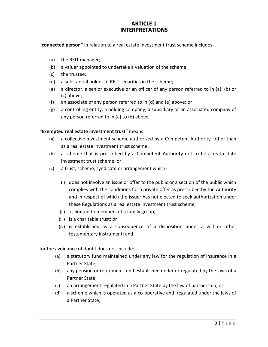#### **ARTICLE 1 INTERPRETATIONS**

**"connected person"** in relation to a real estate investment trust scheme includes-

- (a) the REIT manager;
- (b) a valuer appointed to undertake a valuation of the scheme;
- (c) the trustee;
- (d) a substantial holder of REIT securities in the scheme;
- (e) a director, a senior executive or an officer of any person referred to in (a), (b) or (c) above;
- (f) an associate of any person referred to in (d) and (e) above; or
- (g) a controlling entity, a holding company, a subsidiary or an associated company of any person referred to in (a) to (d) above;

#### **"Exempted real estate investment trust"** means:

- (a) a collective investment scheme authorized by a Competent Authority other than as a real estate investment trust scheme;
- (b) a scheme that is prescribed by a Competent Authority not to be a real estate investment trust scheme; or
- (c) a trust, scheme, syndicate or arrangement which-
	- (i) does not involve an issue or offer to the public or a section of the public which complies with the conditions for a private offer as prescribed by the Authority and in respect of which the issuer has not elected to seek authorization under these Regulations as a real estate investment trust scheme;
	- (ii) is limited to members of a family group;
	- (iii) is a charitable trust; or
	- (iv) is established as a consequence of a disposition under a will or other testamentary instrument; and

for the avoidance of doubt does not include:

- (a) a statutory fund maintained under any law for the regulation of insurance in a Partner State;
- (b) any pension or retirement fund established under or regulated by the laws of a Partner State;
- (c) an arrangement regulated in a Partner State by the law of partnership; or
- (d) a scheme which is operated as a co-operative and regulated under the laws of a Partner State;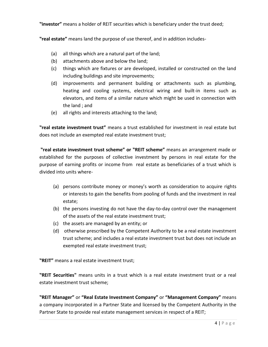**"investor"** means a holder of REIT securities which is beneficiary under the trust deed;

**"real estate"** means land the purpose of use thereof, and in addition includes-

- (a) all things which are a natural part of the land;
- (b) attachments above and below the land;
- (c) things which are fixtures or are developed, installed or constructed on the land including buildings and site improvements;
- (d) improvements and permanent building or attachments such as plumbing, heating and cooling systems, electrical wiring and built-in items such as elevators, and items of a similar nature which might be used in connection with the land ; and
- (e) all rights and interests attaching to the land;

**"real estate investment trust"** means a trust established for investment in real estate but does not include an exempted real estate investment trust;

**"real estate investment trust scheme" or "REIT scheme"** means an arrangement made or established for the purposes of collective investment by persons in real estate for the purpose of earning profits or income from real estate as beneficiaries of a trust which is divided into units where-

- (a) persons contribute money or money's worth as consideration to acquire rights or interests to gain the benefits from pooling of funds and the investment in real estate;
- (b) the persons investing do not have the day-to-day control over the management of the assets of the real estate investment trust;
- (c) the assets are managed by an entity; or
- (d) otherwise prescribed by the Competent Authority to be a real estate investment trust scheme; and includes a real estate investment trust but does not include an exempted real estate investment trust;

**"REIT"** means a real estate investment trust;

**"REIT Securities"** means units in a trust which is a real estate investment trust or a real estate investment trust scheme;

**"REIT Manager"** or **"Real Estate Investment Company"** or **"Management Company"** means a company incorporated in a Partner State and licensed by the Competent Authority in the Partner State to provide real estate management services in respect of a REIT;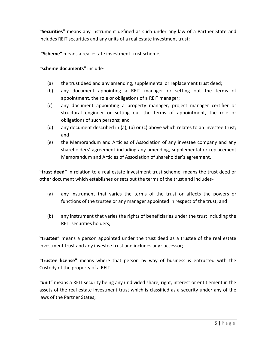**"Securities"** means any instrument defined as such under any law of a Partner State and includes REIT securities and any units of a real estate investment trust;

**"Scheme"** means a real estate investment trust scheme;

**"scheme documents"** include-

- (a) the trust deed and any amending, supplemental or replacement trust deed;
- (b) any document appointing a REIT manager or setting out the terms of appointment, the role or obligations of a REIT manager;
- (c) any document appointing a property manager, project manager certifier or structural engineer or setting out the terms of appointment, the role or obligations of such persons; and
- (d) any document described in (a), (b) or (c) above which relates to an investee trust; and
- (e) the Memorandum and Articles of Association of any investee company and any shareholders' agreement including any amending, supplemental or replacement Memorandum and Articles of Association of shareholder's agreement.

**"trust deed"** in relation to a real estate investment trust scheme, means the trust deed or other document which establishes or sets out the terms of the trust and includes-

- (a) any instrument that varies the terms of the trust or affects the powers or functions of the trustee or any manager appointed in respect of the trust; and
- (b) any instrument that varies the rights of beneficiaries under the trust including the REIT securities holders;

**"trustee"** means a person appointed under the trust deed as a trustee of the real estate investment trust and any investee trust and includes any successor;

**"trustee license"** means where that person by way of business is entrusted with the Custody of the property of a REIT.

**"unit"** means a REIT security being any undivided share, right, interest or entitlement in the assets of the real estate investment trust which is classified as a security under any of the laws of the Partner States;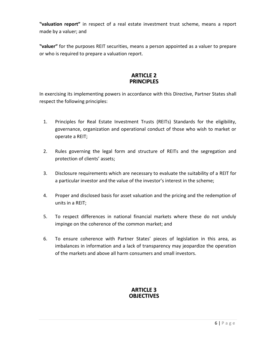**"valuation report"** in respect of a real estate investment trust scheme, means a report made by a valuer; and

**"valuer"** for the purposes REIT securities, means a person appointed as a valuer to prepare or who is required to prepare a valuation report.

#### **ARTICLE 2 PRINCIPLES**

In exercising its implementing powers in accordance with this Directive, Partner States shall respect the following principles:

- 1. Principles for Real Estate Investment Trusts (REITs) Standards for the eligibility, governance, organization and operational conduct of those who wish to market or operate a REIT;
- 2. Rules governing the legal form and structure of REITs and the segregation and protection of clients' assets;
- 3. Disclosure requirements which are necessary to evaluate the suitability of a REIT for a particular investor and the value of the investor's interest in the scheme;
- 4. Proper and disclosed basis for asset valuation and the pricing and the redemption of units in a REIT;
- 5. To respect differences in national financial markets where these do not unduly impinge on the coherence of the common market; and
- 6. To ensure coherence with Partner States' pieces of legislation in this area, as imbalances in information and a lack of transparency may jeopardize the operation of the markets and above all harm consumers and small investors.

### **ARTICLE 3 OBJECTIVES**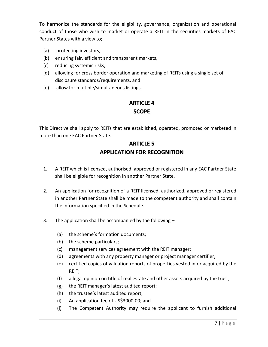To harmonize the standards for the eligibility, governance, organization and operational conduct of those who wish to market or operate a REIT in the securities markets of EAC Partner States with a view to;

- (a) protecting investors,
- (b) ensuring fair, efficient and transparent markets,
- (c) reducing systemic risks,
- (d) allowing for cross border operation and marketing of REITs using a single set of disclosure standards/requirements, and
- (e) allow for multiple/simultaneous listings.

## **ARTICLE 4 SCOPE**

This Directive shall apply to REITs that are established, operated, promoted or marketed in more than one EAC Partner State.

# **ARTICLE 5 APPLICATION FOR RECOGNITION**

- 1. A REIT which is licensed, authorised, approved or registered in any EAC Partner State shall be eligible for recognition in another Partner State.
- 2. An application for recognition of a REIT licensed, authorized, approved or registered in another Partner State shall be made to the competent authority and shall contain the information specified in the Schedule.
- 3. The application shall be accompanied by the following
	- (a) the scheme's formation documents;
	- (b) the scheme particulars;
	- (c) management services agreement with the REIT manager;
	- (d) agreements with any property manager or project manager certifier;
	- (e) certified copies of valuation reports of properties vested in or acquired by the REIT;
	- (f) a legal opinion on title of real estate and other assets acquired by the trust;
	- (g) the REIT manager's latest audited report;
	- (h) the trustee's latest audited report;
	- (i) An application fee of US\$3000.00; and
	- (j) The Competent Authority may require the applicant to furnish additional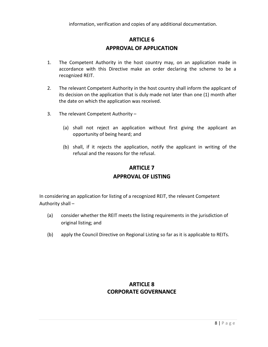# **ARTICLE 6 APPROVAL OF APPLICATION**

- 1. The Competent Authority in the host country may, on an application made in accordance with this Directive make an order declaring the scheme to be a recognized REIT.
- 2. The relevant Competent Authority in the host country shall inform the applicant of its decision on the application that is duly made not later than one (1) month after the date on which the application was received.
- 3. The relevant Competent Authority
	- (a) shall not reject an application without first giving the applicant an opportunity of being heard; and
	- (b) shall, if it rejects the application, notify the applicant in writing of the refusal and the reasons for the refusal.

### **ARTICLE 7**

#### **APPROVAL OF LISTING**

In considering an application for listing of a recognized REIT, the relevant Competent Authority shall –

- (a) consider whether the REIT meets the listing requirements in the jurisdiction of original listing; and
- (b) apply the Council Directive on Regional Listing so far as it is applicable to REITs.

## **ARTICLE 8 CORPORATE GOVERNANCE**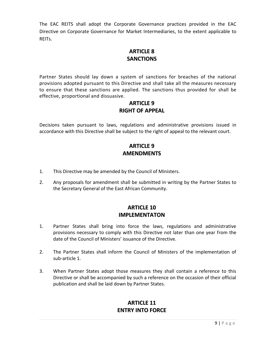The EAC REITS shall adopt the Corporate Governance practices provided in the EAC Directive on Corporate Governance for Market Intermediaries, to the extent applicable to REITs.

## **ARTICLE 8 SANCTIONS**

Partner States should lay down a system of sanctions for breaches of the national provisions adopted pursuant to this Directive and shall take all the measures necessary to ensure that these sanctions are applied. The sanctions thus provided for shall be effective, proportional and dissuasive.

## **ARTICLE 9 RIGHT OF APPEAL**

Decisions taken pursuant to laws, regulations and administrative provisions issued in accordance with this Directive shall be subject to the right of appeal to the relevant court.

# **ARTICLE 9 AMENDMENTS**

- 1. This Directive may be amended by the Council of Ministers.
- 2. Any proposals for amendment shall be submitted in writing by the Partner States to the Secretary General of the East African Community.

## **ARTICLE 10 IMPLEMENTATON**

- 1. Partner States shall bring into force the laws, regulations and administrative provisions necessary to comply with this Directive not later than one year from the date of the Council of Ministers' issuance of the Directive.
- 2. The Partner States shall inform the Council of Ministers of the implementation of sub-article 1.
- 3. When Partner States adopt those measures they shall contain a reference to this Directive or shall be accompanied by such a reference on the occasion of their official publication and shall be laid down by Partner States.

# **ARTICLE 11 ENTRY INTO FORCE**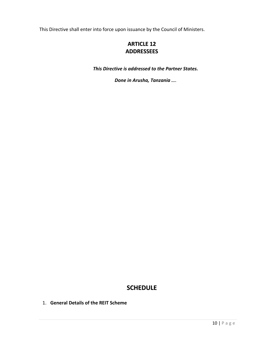This Directive shall enter into force upon issuance by the Council of Ministers.

## **ARTICLE 12 ADDRESSEES**

*This Directive is addressed to the Partner States.*

*Done in Arusha, Tanzania …..*

## **SCHEDULE**

1. **General Details of the REIT Scheme**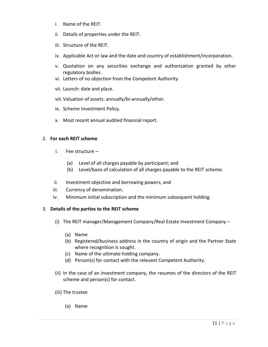- i. Name of the REIT.
- ii. Details of properties under the REIT.
- iii. Structure of the REIT.
- iv. Applicable Act or law and the date and country of establishment/incorporation.
- v. Quotation on any securities exchange and authorization granted by other regulatory bodies.
- vi. Letters of no objection from the Competent Authority.
- vii. Launch: date and place.
- viii.Valuation of assets: annually/bi-annually/other.
- ix. Scheme Investment Policy.
- x. Most recent annual audited financial report.

#### 2. **For each REIT scheme**

- i. Fee structure
	- (a) Level of all charges payable by participant; and
	- (b) Level/basis of calculation of all charges payable to the REIT scheme.
- ii. Investment objective and borrowing powers; and
- iii. Currency of denomination.
- iv. Minimum initial subscription and the minimum subsequent holding.

#### 3. **Details of the parties to the REIT scheme**

- (i) The REIT manager/Management Company/Real Estate Investment Company
	- (a) Name
	- (b) Registered/business address in the country of origin and the Partner State where recognition is sought.
	- (c) Name of the ultimate holding company.
	- (d) Person(s) for contact with the relevant Competent Authority.
- (ii) In the case of an investment company, the resumes of the directors of the REIT scheme and person(s) for contact.
- (iii) The trustee
	- (a) Name